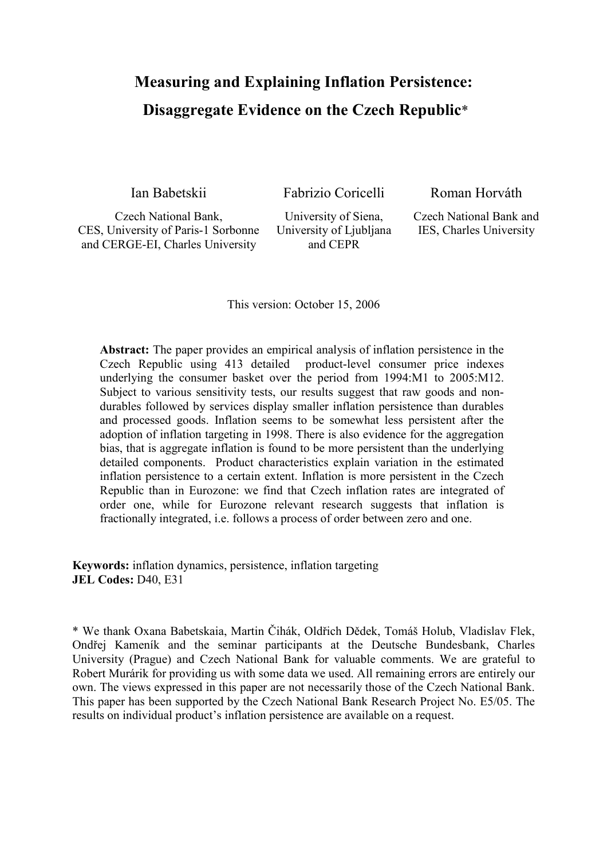# Measuring and Explaining Inflation Persistence: Disaggregate Evidence on the Czech Republic\*

Ian Babetskii Fabrizio Coricelli Roman Horváth

Czech National Bank, CES, University of Paris-1 Sorbonne and CERGE-EI, Charles University

University of Siena, University of Ljubljana and CEPR

Czech National Bank and IES, Charles University

This version: October 15, 2006

Abstract: The paper provides an empirical analysis of inflation persistence in the Czech Republic using 413 detailed product-level consumer price indexes underlying the consumer basket over the period from 1994:M1 to 2005:M12. Subject to various sensitivity tests, our results suggest that raw goods and nondurables followed by services display smaller inflation persistence than durables and processed goods. Inflation seems to be somewhat less persistent after the adoption of inflation targeting in 1998. There is also evidence for the aggregation bias, that is aggregate inflation is found to be more persistent than the underlying detailed components. Product characteristics explain variation in the estimated inflation persistence to a certain extent. Inflation is more persistent in the Czech Republic than in Eurozone: we find that Czech inflation rates are integrated of order one, while for Eurozone relevant research suggests that inflation is fractionally integrated, i.e. follows a process of order between zero and one.

Keywords: inflation dynamics, persistence, inflation targeting JEL Codes: D40, E31

\* We thank Oxana Babetskaia, Martin Čihák, Oldřich Dědek, Tomáš Holub, Vladislav Flek, Ondřej Kameník and the seminar participants at the Deutsche Bundesbank, Charles University (Prague) and Czech National Bank for valuable comments. We are grateful to Robert Murárik for providing us with some data we used. All remaining errors are entirely our own. The views expressed in this paper are not necessarily those of the Czech National Bank. This paper has been supported by the Czech National Bank Research Project No. E5/05. The results on individual product's inflation persistence are available on a request.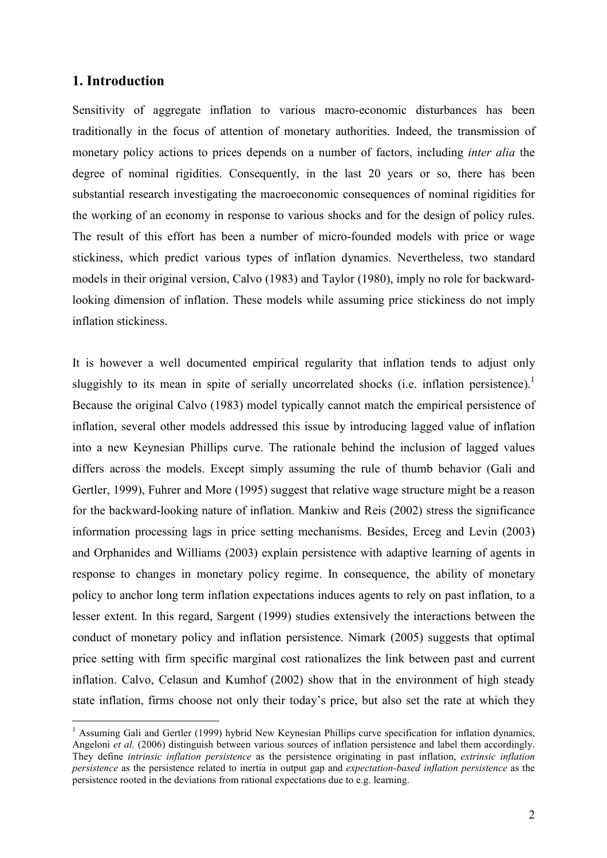## 1. Introduction

 $\overline{a}$ 

Sensitivity of aggregate inflation to various macro-economic disturbances has been traditionally in the focus of attention of monetary authorities. Indeed, the transmission of monetary policy actions to prices depends on a number of factors, including *inter alia* the degree of nominal rigidities. Consequently, in the last 20 years or so, there has been substantial research investigating the macroeconomic consequences of nominal rigidities for the working of an economy in response to various shocks and for the design of policy rules. The result of this effort has been a number of micro-founded models with price or wage stickiness, which predict various types of inflation dynamics. Nevertheless, two standard models in their original version, Calvo (1983) and Taylor (1980), imply no role for backwardlooking dimension of inflation. These models while assuming price stickiness do not imply inflation stickiness.

It is however a well documented empirical regularity that inflation tends to adjust only sluggishly to its mean in spite of serially uncorrelated shocks (i.e. inflation persistence).<sup>1</sup> Because the original Calvo (1983) model typically cannot match the empirical persistence of inflation, several other models addressed this issue by introducing lagged value of inflation into a new Keynesian Phillips curve. The rationale behind the inclusion of lagged values differs across the models. Except simply assuming the rule of thumb behavior (Gali and Gertler, 1999), Fuhrer and More (1995) suggest that relative wage structure might be a reason for the backward-looking nature of inflation. Mankiw and Reis (2002) stress the significance information processing lags in price setting mechanisms. Besides, Erceg and Levin (2003) and Orphanides and Williams (2003) explain persistence with adaptive learning of agents in response to changes in monetary policy regime. In consequence, the ability of monetary policy to anchor long term inflation expectations induces agents to rely on past inflation, to a lesser extent. In this regard, Sargent (1999) studies extensively the interactions between the conduct of monetary policy and inflation persistence. Nimark (2005) suggests that optimal price setting with firm specific marginal cost rationalizes the link between past and current inflation. Calvo, Celasun and Kumhof (2002) show that in the environment of high steady state inflation, firms choose not only their today's price, but also set the rate at which they

<sup>&</sup>lt;sup>1</sup> Assuming Gali and Gertler (1999) hybrid New Keynesian Phillips curve specification for inflation dynamics, Angeloni *et al.* (2006) distinguish between various sources of inflation persistence and label them accordingly. They define *intrinsic inflation persistence* as the persistence originating in past inflation, extrinsic inflation persistence as the persistence related to inertia in output gap and expectation-based inflation persistence as the persistence rooted in the deviations from rational expectations due to e.g. learning.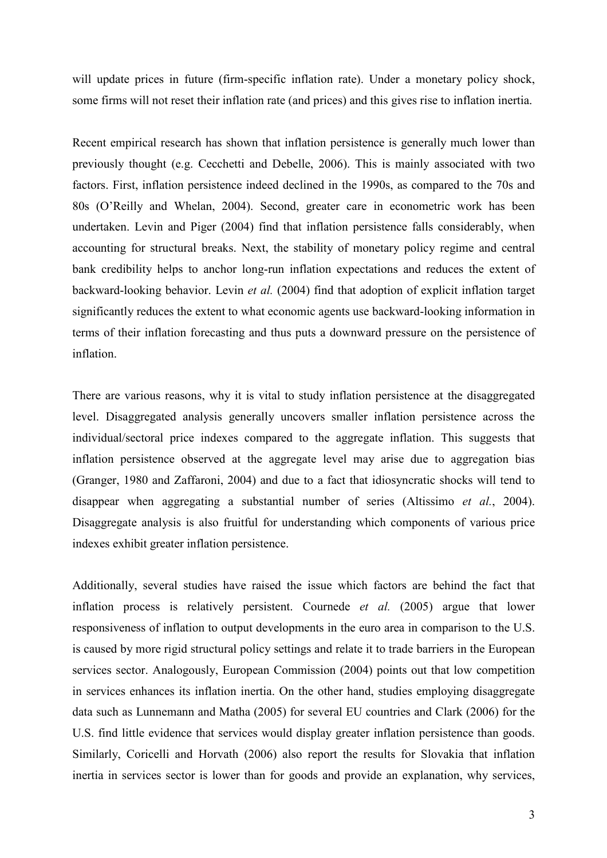will update prices in future (firm-specific inflation rate). Under a monetary policy shock, some firms will not reset their inflation rate (and prices) and this gives rise to inflation inertia.

Recent empirical research has shown that inflation persistence is generally much lower than previously thought (e.g. Cecchetti and Debelle, 2006). This is mainly associated with two factors. First, inflation persistence indeed declined in the 1990s, as compared to the 70s and 80s (O'Reilly and Whelan, 2004). Second, greater care in econometric work has been undertaken. Levin and Piger (2004) find that inflation persistence falls considerably, when accounting for structural breaks. Next, the stability of monetary policy regime and central bank credibility helps to anchor long-run inflation expectations and reduces the extent of backward-looking behavior. Levin et al. (2004) find that adoption of explicit inflation target significantly reduces the extent to what economic agents use backward-looking information in terms of their inflation forecasting and thus puts a downward pressure on the persistence of inflation.

There are various reasons, why it is vital to study inflation persistence at the disaggregated level. Disaggregated analysis generally uncovers smaller inflation persistence across the individual/sectoral price indexes compared to the aggregate inflation. This suggests that inflation persistence observed at the aggregate level may arise due to aggregation bias (Granger, 1980 and Zaffaroni, 2004) and due to a fact that idiosyncratic shocks will tend to disappear when aggregating a substantial number of series (Altissimo et al., 2004). Disaggregate analysis is also fruitful for understanding which components of various price indexes exhibit greater inflation persistence.

Additionally, several studies have raised the issue which factors are behind the fact that inflation process is relatively persistent. Cournede et al. (2005) argue that lower responsiveness of inflation to output developments in the euro area in comparison to the U.S. is caused by more rigid structural policy settings and relate it to trade barriers in the European services sector. Analogously, European Commission (2004) points out that low competition in services enhances its inflation inertia. On the other hand, studies employing disaggregate data such as Lunnemann and Matha (2005) for several EU countries and Clark (2006) for the U.S. find little evidence that services would display greater inflation persistence than goods. Similarly, Coricelli and Horvath (2006) also report the results for Slovakia that inflation inertia in services sector is lower than for goods and provide an explanation, why services,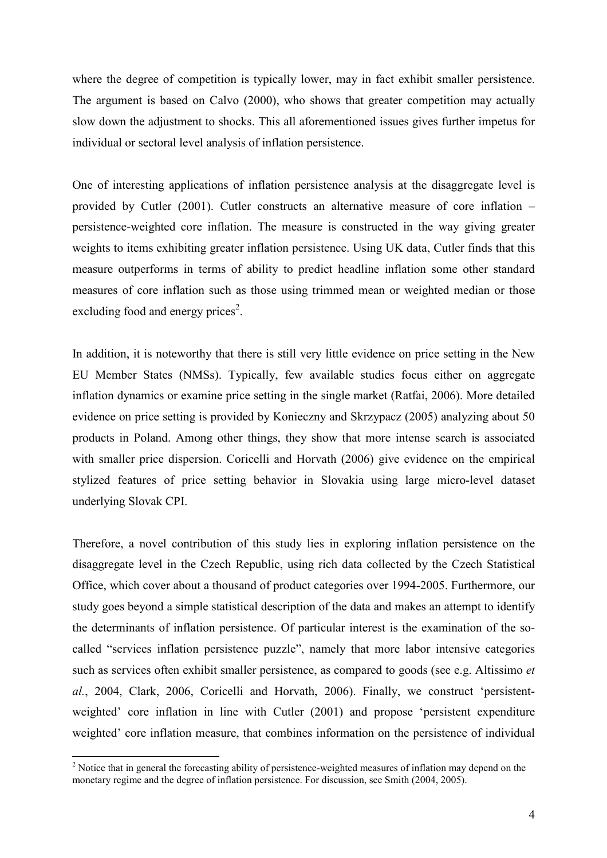where the degree of competition is typically lower, may in fact exhibit smaller persistence. The argument is based on Calvo (2000), who shows that greater competition may actually slow down the adjustment to shocks. This all aforementioned issues gives further impetus for individual or sectoral level analysis of inflation persistence.

One of interesting applications of inflation persistence analysis at the disaggregate level is provided by Cutler (2001). Cutler constructs an alternative measure of core inflation – persistence-weighted core inflation. The measure is constructed in the way giving greater weights to items exhibiting greater inflation persistence. Using UK data, Cutler finds that this measure outperforms in terms of ability to predict headline inflation some other standard measures of core inflation such as those using trimmed mean or weighted median or those excluding food and energy prices<sup>2</sup>.

In addition, it is noteworthy that there is still very little evidence on price setting in the New EU Member States (NMSs). Typically, few available studies focus either on aggregate inflation dynamics or examine price setting in the single market (Ratfai, 2006). More detailed evidence on price setting is provided by Konieczny and Skrzypacz (2005) analyzing about 50 products in Poland. Among other things, they show that more intense search is associated with smaller price dispersion. Coricelli and Horvath (2006) give evidence on the empirical stylized features of price setting behavior in Slovakia using large micro-level dataset underlying Slovak CPI.

Therefore, a novel contribution of this study lies in exploring inflation persistence on the disaggregate level in the Czech Republic, using rich data collected by the Czech Statistical Office, which cover about a thousand of product categories over 1994-2005. Furthermore, our study goes beyond a simple statistical description of the data and makes an attempt to identify the determinants of inflation persistence. Of particular interest is the examination of the socalled "services inflation persistence puzzle", namely that more labor intensive categories such as services often exhibit smaller persistence, as compared to goods (see e.g. Altissimo et al., 2004, Clark, 2006, Coricelli and Horvath, 2006). Finally, we construct 'persistentweighted' core inflation in line with Cutler (2001) and propose 'persistent expenditure weighted' core inflation measure, that combines information on the persistence of individual

<sup>&</sup>lt;sup>2</sup> Notice that in general the forecasting ability of persistence-weighted measures of inflation may depend on the monetary regime and the degree of inflation persistence. For discussion, see Smith (2004, 2005).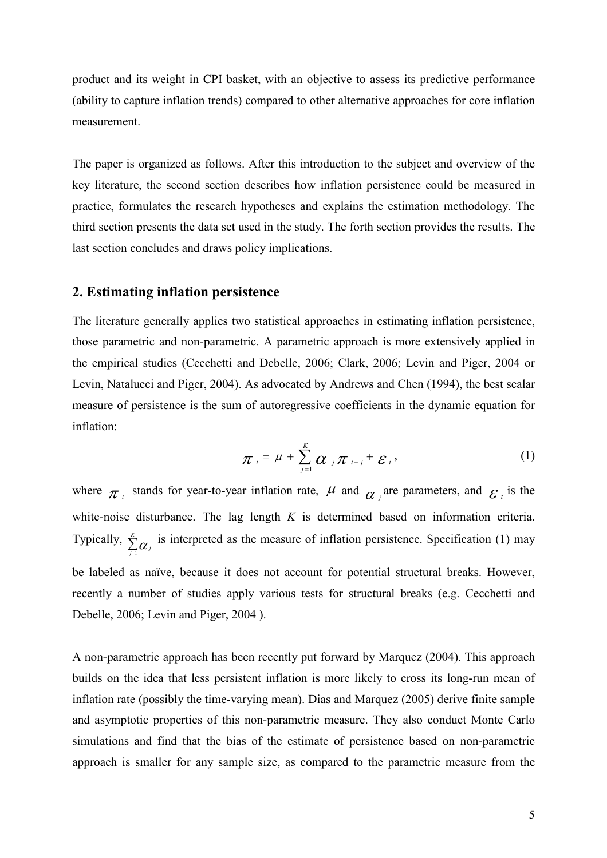product and its weight in CPI basket, with an objective to assess its predictive performance (ability to capture inflation trends) compared to other alternative approaches for core inflation measurement.

The paper is organized as follows. After this introduction to the subject and overview of the key literature, the second section describes how inflation persistence could be measured in practice, formulates the research hypotheses and explains the estimation methodology. The third section presents the data set used in the study. The forth section provides the results. The last section concludes and draws policy implications.

#### 2. Estimating inflation persistence

The literature generally applies two statistical approaches in estimating inflation persistence, those parametric and non-parametric. A parametric approach is more extensively applied in the empirical studies (Cecchetti and Debelle, 2006; Clark, 2006; Levin and Piger, 2004 or Levin, Natalucci and Piger, 2004). As advocated by Andrews and Chen (1994), the best scalar measure of persistence is the sum of autoregressive coefficients in the dynamic equation for inflation:

$$
\pi_{t} = \mu + \sum_{j=1}^{K} \alpha_{j} \pi_{t-j} + \varepsilon_{t}, \qquad (1)
$$

where  $\pi_i$  stands for year-to-year inflation rate,  $\mu$  and  $\alpha_i$  are parameters, and  $\varepsilon_i$  is the white-noise disturbance. The lag length  $K$  is determined based on information criteria. Typically,  $\sum_{j=1}^{K}$  $\sum_{j=1}^{k} \alpha_j$  is interpreted as the measure of inflation persistence. Specification (1) may be labeled as naïve, because it does not account for potential structural breaks. However, recently a number of studies apply various tests for structural breaks (e.g. Cecchetti and Debelle, 2006; Levin and Piger, 2004 ).

A non-parametric approach has been recently put forward by Marquez (2004). This approach builds on the idea that less persistent inflation is more likely to cross its long-run mean of inflation rate (possibly the time-varying mean). Dias and Marquez (2005) derive finite sample and asymptotic properties of this non-parametric measure. They also conduct Monte Carlo simulations and find that the bias of the estimate of persistence based on non-parametric approach is smaller for any sample size, as compared to the parametric measure from the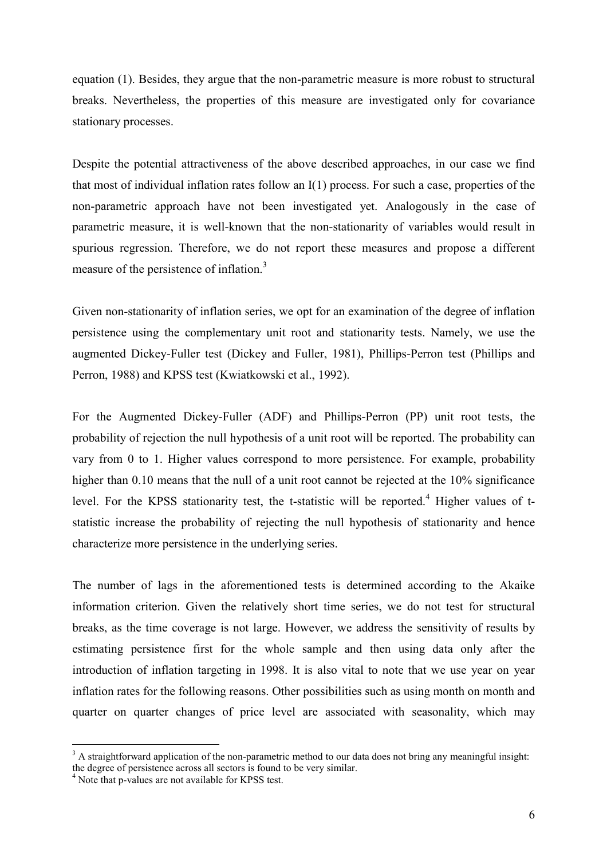equation (1). Besides, they argue that the non-parametric measure is more robust to structural breaks. Nevertheless, the properties of this measure are investigated only for covariance stationary processes.

Despite the potential attractiveness of the above described approaches, in our case we find that most of individual inflation rates follow an I(1) process. For such a case, properties of the non-parametric approach have not been investigated yet. Analogously in the case of parametric measure, it is well-known that the non-stationarity of variables would result in spurious regression. Therefore, we do not report these measures and propose a different measure of the persistence of inflation.<sup>3</sup>

Given non-stationarity of inflation series, we opt for an examination of the degree of inflation persistence using the complementary unit root and stationarity tests. Namely, we use the augmented Dickey-Fuller test (Dickey and Fuller, 1981), Phillips-Perron test (Phillips and Perron, 1988) and KPSS test (Kwiatkowski et al., 1992).

For the Augmented Dickey-Fuller (ADF) and Phillips-Perron (PP) unit root tests, the probability of rejection the null hypothesis of a unit root will be reported. The probability can vary from 0 to 1. Higher values correspond to more persistence. For example, probability higher than 0.10 means that the null of a unit root cannot be rejected at the 10% significance level. For the KPSS stationarity test, the t-statistic will be reported.<sup>4</sup> Higher values of tstatistic increase the probability of rejecting the null hypothesis of stationarity and hence characterize more persistence in the underlying series.

The number of lags in the aforementioned tests is determined according to the Akaike information criterion. Given the relatively short time series, we do not test for structural breaks, as the time coverage is not large. However, we address the sensitivity of results by estimating persistence first for the whole sample and then using data only after the introduction of inflation targeting in 1998. It is also vital to note that we use year on year inflation rates for the following reasons. Other possibilities such as using month on month and quarter on quarter changes of price level are associated with seasonality, which may

 $\overline{a}$ 

 $3$  A straightforward application of the non-parametric method to our data does not bring any meaningful insight: the degree of persistence across all sectors is found to be very similar.

<sup>&</sup>lt;sup>4</sup> Note that p-values are not available for KPSS test.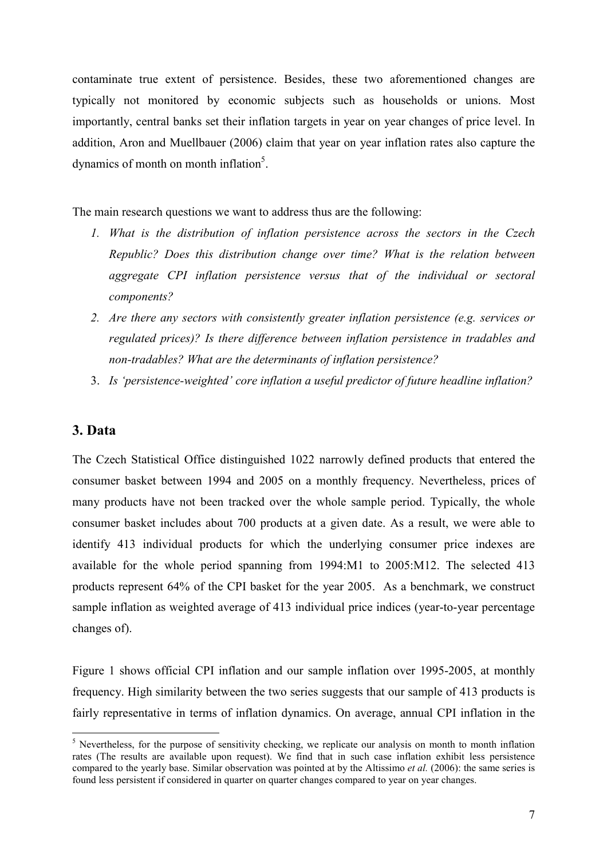contaminate true extent of persistence. Besides, these two aforementioned changes are typically not monitored by economic subjects such as households or unions. Most importantly, central banks set their inflation targets in year on year changes of price level. In addition, Aron and Muellbauer (2006) claim that year on year inflation rates also capture the dynamics of month on month inflation<sup>5</sup>.

The main research questions we want to address thus are the following:

- 1. What is the distribution of inflation persistence across the sectors in the Czech Republic? Does this distribution change over time? What is the relation between aggregate CPI inflation persistence versus that of the individual or sectoral components?
- 2. Are there any sectors with consistently greater inflation persistence (e.g. services or regulated prices)? Is there difference between inflation persistence in tradables and non-tradables? What are the determinants of inflation persistence?
- 3. Is 'persistence-weighted' core inflation a useful predictor of future headline inflation?

### 3. Data

The Czech Statistical Office distinguished 1022 narrowly defined products that entered the consumer basket between 1994 and 2005 on a monthly frequency. Nevertheless, prices of many products have not been tracked over the whole sample period. Typically, the whole consumer basket includes about 700 products at a given date. As a result, we were able to identify 413 individual products for which the underlying consumer price indexes are available for the whole period spanning from 1994:M1 to 2005:M12. The selected 413 products represent 64% of the CPI basket for the year 2005. As a benchmark, we construct sample inflation as weighted average of 413 individual price indices (year-to-year percentage changes of).

Figure 1 shows official CPI inflation and our sample inflation over 1995-2005, at monthly frequency. High similarity between the two series suggests that our sample of 413 products is fairly representative in terms of inflation dynamics. On average, annual CPI inflation in the

<sup>&</sup>lt;sup>5</sup> Nevertheless, for the purpose of sensitivity checking, we replicate our analysis on month to month inflation rates (The results are available upon request). We find that in such case inflation exhibit less persistence compared to the yearly base. Similar observation was pointed at by the Altissimo et al. (2006): the same series is found less persistent if considered in quarter on quarter changes compared to year on year changes.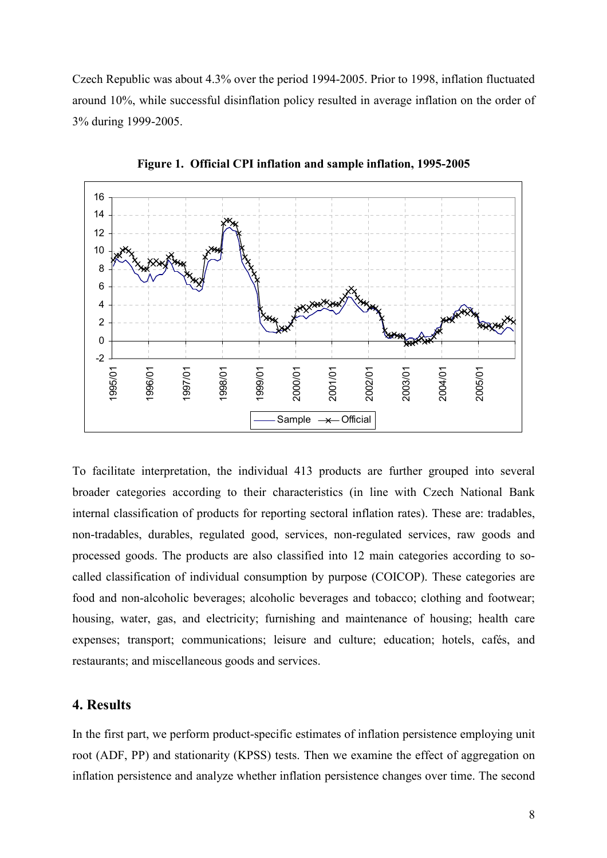Czech Republic was about 4.3% over the period 1994-2005. Prior to 1998, inflation fluctuated around 10%, while successful disinflation policy resulted in average inflation on the order of 3% during 1999-2005.



Figure 1. Official CPI inflation and sample inflation, 1995-2005

To facilitate interpretation, the individual 413 products are further grouped into several broader categories according to their characteristics (in line with Czech National Bank internal classification of products for reporting sectoral inflation rates). These are: tradables, non-tradables, durables, regulated good, services, non-regulated services, raw goods and processed goods. The products are also classified into 12 main categories according to socalled classification of individual consumption by purpose (COICOP). These categories are food and non-alcoholic beverages; alcoholic beverages and tobacco; clothing and footwear; housing, water, gas, and electricity; furnishing and maintenance of housing; health care expenses; transport; communications; leisure and culture; education; hotels, cafés, and restaurants; and miscellaneous goods and services.

## 4. Results

In the first part, we perform product-specific estimates of inflation persistence employing unit root (ADF, PP) and stationarity (KPSS) tests. Then we examine the effect of aggregation on inflation persistence and analyze whether inflation persistence changes over time. The second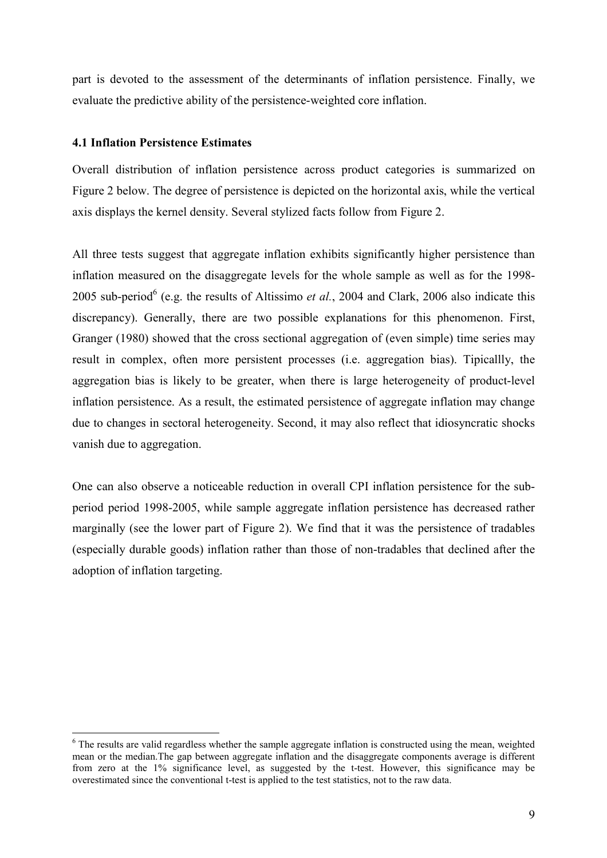part is devoted to the assessment of the determinants of inflation persistence. Finally, we evaluate the predictive ability of the persistence-weighted core inflation.

#### 4.1 Inflation Persistence Estimates

Overall distribution of inflation persistence across product categories is summarized on Figure 2 below. The degree of persistence is depicted on the horizontal axis, while the vertical axis displays the kernel density. Several stylized facts follow from Figure 2.

All three tests suggest that aggregate inflation exhibits significantly higher persistence than inflation measured on the disaggregate levels for the whole sample as well as for the 1998- 2005 sub-period<sup>6</sup> (e.g. the results of Altissimo *et al.*, 2004 and Clark, 2006 also indicate this discrepancy). Generally, there are two possible explanations for this phenomenon. First, Granger (1980) showed that the cross sectional aggregation of (even simple) time series may result in complex, often more persistent processes (i.e. aggregation bias). Tipicallly, the aggregation bias is likely to be greater, when there is large heterogeneity of product-level inflation persistence. As a result, the estimated persistence of aggregate inflation may change due to changes in sectoral heterogeneity. Second, it may also reflect that idiosyncratic shocks vanish due to aggregation.

One can also observe a noticeable reduction in overall CPI inflation persistence for the subperiod period 1998-2005, while sample aggregate inflation persistence has decreased rather marginally (see the lower part of Figure 2). We find that it was the persistence of tradables (especially durable goods) inflation rather than those of non-tradables that declined after the adoption of inflation targeting.

 $\overline{a}$ <sup>6</sup> The results are valid regardless whether the sample aggregate inflation is constructed using the mean, weighted mean or the median.The gap between aggregate inflation and the disaggregate components average is different from zero at the 1% significance level, as suggested by the t-test. However, this significance may be overestimated since the conventional t-test is applied to the test statistics, not to the raw data.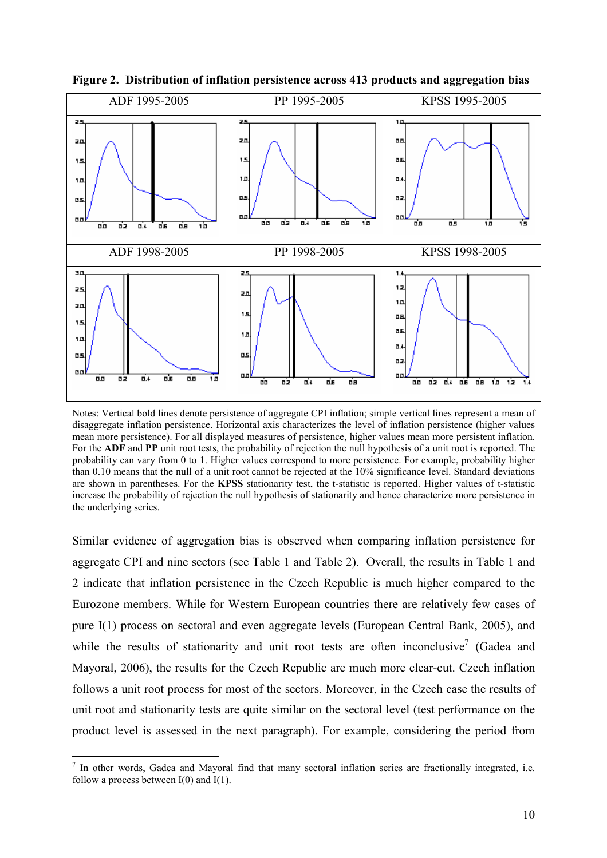

Figure 2. Distribution of inflation persistence across 413 products and aggregation bias

Notes: Vertical bold lines denote persistence of aggregate CPI inflation; simple vertical lines represent a mean of disaggregate inflation persistence. Horizontal axis characterizes the level of inflation persistence (higher values mean more persistence). For all displayed measures of persistence, higher values mean more persistent inflation. For the ADF and PP unit root tests, the probability of rejection the null hypothesis of a unit root is reported. The probability can vary from 0 to 1. Higher values correspond to more persistence. For example, probability higher than 0.10 means that the null of a unit root cannot be rejected at the 10% significance level. Standard deviations are shown in parentheses. For the KPSS stationarity test, the t-statistic is reported. Higher values of t-statistic increase the probability of rejection the null hypothesis of stationarity and hence characterize more persistence in the underlying series.

Similar evidence of aggregation bias is observed when comparing inflation persistence for aggregate CPI and nine sectors (see Table 1 and Table 2). Overall, the results in Table 1 and 2 indicate that inflation persistence in the Czech Republic is much higher compared to the Eurozone members. While for Western European countries there are relatively few cases of pure I(1) process on sectoral and even aggregate levels (European Central Bank, 2005), and while the results of stationarity and unit root tests are often inconclusive<sup>7</sup> (Gadea and Mayoral, 2006), the results for the Czech Republic are much more clear-cut. Czech inflation follows a unit root process for most of the sectors. Moreover, in the Czech case the results of unit root and stationarity tests are quite similar on the sectoral level (test performance on the product level is assessed in the next paragraph). For example, considering the period from

 $\overline{a}$ 

 $<sup>7</sup>$  In other words, Gadea and Mayoral find that many sectoral inflation series are fractionally integrated, i.e.</sup> follow a process between  $I(0)$  and  $I(1)$ .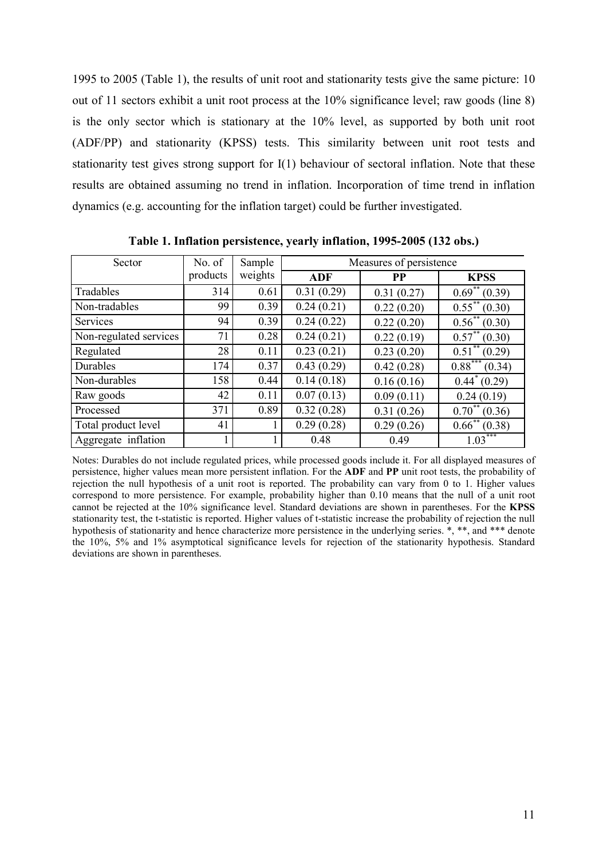1995 to 2005 (Table 1), the results of unit root and stationarity tests give the same picture: 10 out of 11 sectors exhibit a unit root process at the 10% significance level; raw goods (line 8) is the only sector which is stationary at the 10% level, as supported by both unit root (ADF/PP) and stationarity (KPSS) tests. This similarity between unit root tests and stationarity test gives strong support for I(1) behaviour of sectoral inflation. Note that these results are obtained assuming no trend in inflation. Incorporation of time trend in inflation dynamics (e.g. accounting for the inflation target) could be further investigated.

| Sector                 | No. of   | Sample  | Measures of persistence |            |                               |  |  |
|------------------------|----------|---------|-------------------------|------------|-------------------------------|--|--|
|                        | products | weights | ADF                     | <b>PP</b>  | <b>KPSS</b>                   |  |  |
| Tradables              | 314      | 0.61    | 0.31(0.29)              | 0.31(0.27) | $0.69^{**} (0.39)$            |  |  |
| Non-tradables          | 99       | 0.39    | 0.24(0.21)              | 0.22(0.20) | $0.55***(0.30)$               |  |  |
| Services               | 94       | 0.39    | 0.24(0.22)              | 0.22(0.20) | $0.56^{**} (0.30)$            |  |  |
| Non-regulated services | 71       | 0.28    | 0.24(0.21)              | 0.22(0.19) | $0.57^{**}$ (0.30)            |  |  |
| Regulated              | 28       | 0.11    | 0.23(0.21)              | 0.23(0.20) | $\overline{0.51}^{**}$ (0.29) |  |  |
| Durables               | 174      | 0.37    | 0.43(0.29)              | 0.42(0.28) | $0.88***$<br>(0.34)           |  |  |
| Non-durables           | 158      | 0.44    | 0.14(0.18)              | 0.16(0.16) | $0.44^*(0.29)$                |  |  |
| Raw goods              | 42       | 0.11    | 0.07(0.13)              | 0.09(0.11) | 0.24(0.19)                    |  |  |
| Processed              | 371      | 0.89    | 0.32(0.28)              | 0.31(0.26) | $0.70^{**}$ (0.36)            |  |  |
| Total product level    | 41       |         | 0.29(0.28)              | 0.29(0.26) | $\overline{0.66}^{**}(0.38)$  |  |  |
| Aggregate inflation    |          |         | 0.48                    | 0.49       | $1.03***$                     |  |  |

Table 1. Inflation persistence, yearly inflation, 1995-2005 (132 obs.)

Notes: Durables do not include regulated prices, while processed goods include it. For all displayed measures of persistence, higher values mean more persistent inflation. For the ADF and PP unit root tests, the probability of rejection the null hypothesis of a unit root is reported. The probability can vary from 0 to 1. Higher values correspond to more persistence. For example, probability higher than 0.10 means that the null of a unit root cannot be rejected at the 10% significance level. Standard deviations are shown in parentheses. For the KPSS stationarity test, the t-statistic is reported. Higher values of t-statistic increase the probability of rejection the null hypothesis of stationarity and hence characterize more persistence in the underlying series. \*, \*\*, and \*\*\* denote the 10%, 5% and 1% asymptotical significance levels for rejection of the stationarity hypothesis. Standard deviations are shown in parentheses.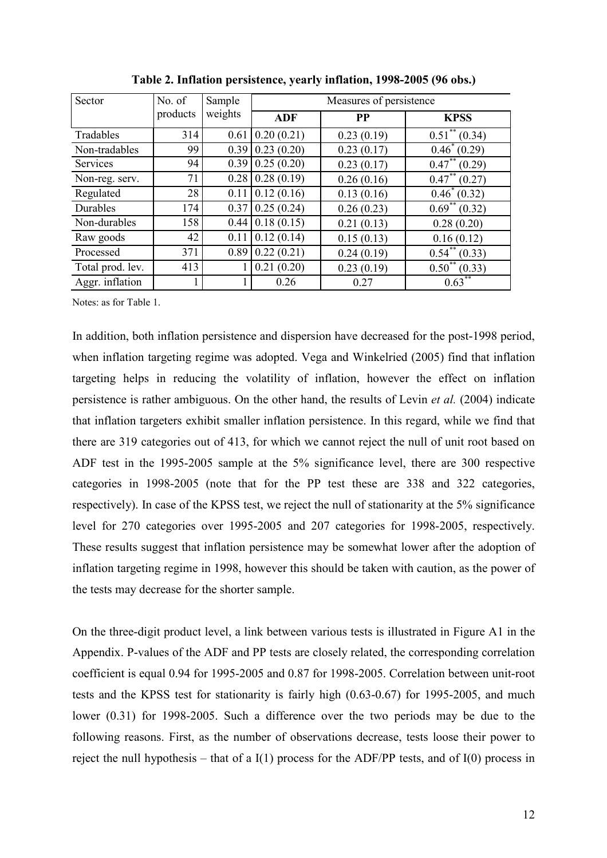| Sector           | No. of   | Sample  | Measures of persistence |            |                               |  |  |
|------------------|----------|---------|-------------------------|------------|-------------------------------|--|--|
|                  | products | weights | <b>ADF</b>              | <b>PP</b>  | <b>KPSS</b>                   |  |  |
| Tradables        | 314      | 0.61    | 0.20(0.21)              | 0.23(0.19) | $0.51$ <sup>**</sup> (0.34)   |  |  |
| Non-tradables    | 99       | 0.39    | 0.23(0.20)              | 0.23(0.17) | $0.46^*(0.29)$                |  |  |
| Services         | 94       | 0.39    | 0.25(0.20)              | 0.23(0.17) | $\overline{0.47}^{**}$ (0.29) |  |  |
| Non-reg. serv.   | 71       | 0.28    | 0.28(0.19)              | 0.26(0.16) | $\overline{0.47}^{**}$ (0.27) |  |  |
| Regulated        | 28       | 0.11    | 0.12(0.16)              | 0.13(0.16) | $0.46^*(0.32)$                |  |  |
| Durables         | 174      | 0.37    | 0.25(0.24)              | 0.26(0.23) | $\overline{0.69^{**}(0.32)}$  |  |  |
| Non-durables     | 158      | 0.44    | 0.18(0.15)              | 0.21(0.13) | 0.28(0.20)                    |  |  |
| Raw goods        | 42       | 0.11    | 0.12(0.14)              | 0.15(0.13) | 0.16(0.12)                    |  |  |
| Processed        | 371      | 0.89    | 0.22(0.21)              | 0.24(0.19) | $\overline{0.54^{**}(0.33)}$  |  |  |
| Total prod. lev. | 413      |         | 0.21(0.20)              | 0.23(0.19) | $0.50^{**}$ (0.33)            |  |  |
| Aggr. inflation  |          |         | 0.26                    | 0.27       | $0.63***$                     |  |  |

Table 2. Inflation persistence, yearly inflation, 1998-2005 (96 obs.)

Notes: as for Table 1.

In addition, both inflation persistence and dispersion have decreased for the post-1998 period, when inflation targeting regime was adopted. Vega and Winkelried (2005) find that inflation targeting helps in reducing the volatility of inflation, however the effect on inflation persistence is rather ambiguous. On the other hand, the results of Levin et al. (2004) indicate that inflation targeters exhibit smaller inflation persistence. In this regard, while we find that there are 319 categories out of 413, for which we cannot reject the null of unit root based on ADF test in the 1995-2005 sample at the 5% significance level, there are 300 respective categories in 1998-2005 (note that for the PP test these are 338 and 322 categories, respectively). In case of the KPSS test, we reject the null of stationarity at the 5% significance level for 270 categories over 1995-2005 and 207 categories for 1998-2005, respectively. These results suggest that inflation persistence may be somewhat lower after the adoption of inflation targeting regime in 1998, however this should be taken with caution, as the power of the tests may decrease for the shorter sample.

On the three-digit product level, a link between various tests is illustrated in Figure A1 in the Appendix. P-values of the ADF and PP tests are closely related, the corresponding correlation coefficient is equal 0.94 for 1995-2005 and 0.87 for 1998-2005. Correlation between unit-root tests and the KPSS test for stationarity is fairly high (0.63-0.67) for 1995-2005, and much lower (0.31) for 1998-2005. Such a difference over the two periods may be due to the following reasons. First, as the number of observations decrease, tests loose their power to reject the null hypothesis – that of a  $I(1)$  process for the ADF/PP tests, and of  $I(0)$  process in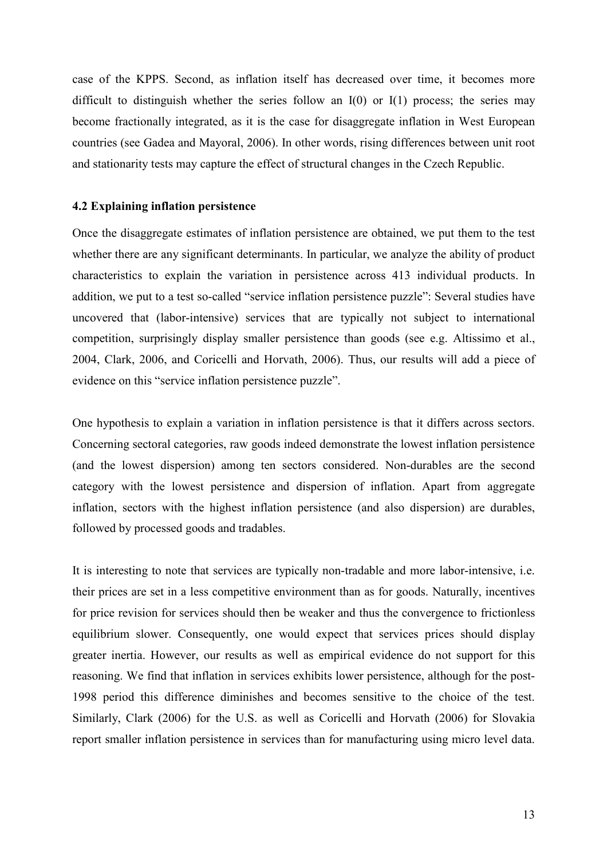case of the KPPS. Second, as inflation itself has decreased over time, it becomes more difficult to distinguish whether the series follow an  $I(0)$  or  $I(1)$  process; the series may become fractionally integrated, as it is the case for disaggregate inflation in West European countries (see Gadea and Mayoral, 2006). In other words, rising differences between unit root and stationarity tests may capture the effect of structural changes in the Czech Republic.

#### 4.2 Explaining inflation persistence

Once the disaggregate estimates of inflation persistence are obtained, we put them to the test whether there are any significant determinants. In particular, we analyze the ability of product characteristics to explain the variation in persistence across 413 individual products. In addition, we put to a test so-called "service inflation persistence puzzle": Several studies have uncovered that (labor-intensive) services that are typically not subject to international competition, surprisingly display smaller persistence than goods (see e.g. Altissimo et al., 2004, Clark, 2006, and Coricelli and Horvath, 2006). Thus, our results will add a piece of evidence on this "service inflation persistence puzzle".

One hypothesis to explain a variation in inflation persistence is that it differs across sectors. Concerning sectoral categories, raw goods indeed demonstrate the lowest inflation persistence (and the lowest dispersion) among ten sectors considered. Non-durables are the second category with the lowest persistence and dispersion of inflation. Apart from aggregate inflation, sectors with the highest inflation persistence (and also dispersion) are durables, followed by processed goods and tradables.

It is interesting to note that services are typically non-tradable and more labor-intensive, i.e. their prices are set in a less competitive environment than as for goods. Naturally, incentives for price revision for services should then be weaker and thus the convergence to frictionless equilibrium slower. Consequently, one would expect that services prices should display greater inertia. However, our results as well as empirical evidence do not support for this reasoning. We find that inflation in services exhibits lower persistence, although for the post-1998 period this difference diminishes and becomes sensitive to the choice of the test. Similarly, Clark (2006) for the U.S. as well as Coricelli and Horvath (2006) for Slovakia report smaller inflation persistence in services than for manufacturing using micro level data.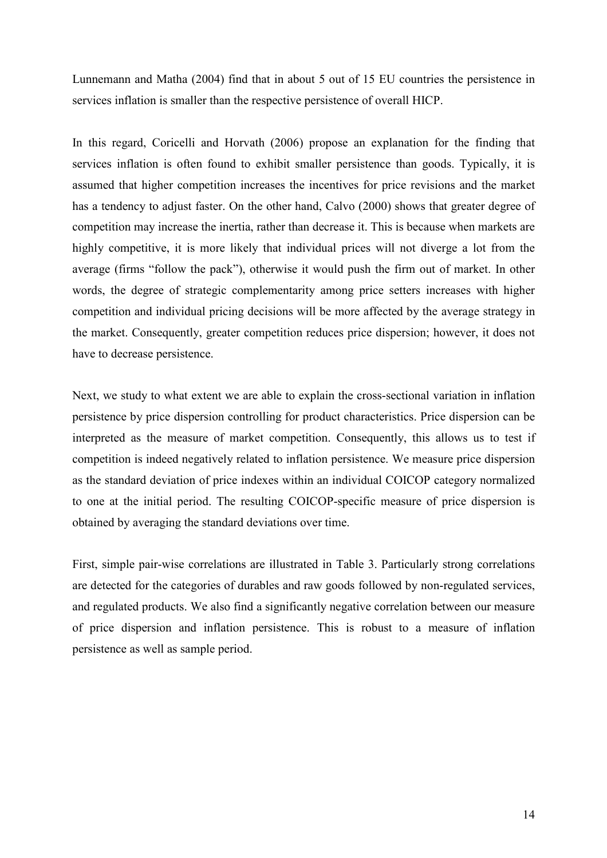Lunnemann and Matha (2004) find that in about 5 out of 15 EU countries the persistence in services inflation is smaller than the respective persistence of overall HICP.

In this regard, Coricelli and Horvath (2006) propose an explanation for the finding that services inflation is often found to exhibit smaller persistence than goods. Typically, it is assumed that higher competition increases the incentives for price revisions and the market has a tendency to adjust faster. On the other hand, Calvo (2000) shows that greater degree of competition may increase the inertia, rather than decrease it. This is because when markets are highly competitive, it is more likely that individual prices will not diverge a lot from the average (firms "follow the pack"), otherwise it would push the firm out of market. In other words, the degree of strategic complementarity among price setters increases with higher competition and individual pricing decisions will be more affected by the average strategy in the market. Consequently, greater competition reduces price dispersion; however, it does not have to decrease persistence.

Next, we study to what extent we are able to explain the cross-sectional variation in inflation persistence by price dispersion controlling for product characteristics. Price dispersion can be interpreted as the measure of market competition. Consequently, this allows us to test if competition is indeed negatively related to inflation persistence. We measure price dispersion as the standard deviation of price indexes within an individual COICOP category normalized to one at the initial period. The resulting COICOP-specific measure of price dispersion is obtained by averaging the standard deviations over time.

First, simple pair-wise correlations are illustrated in Table 3. Particularly strong correlations are detected for the categories of durables and raw goods followed by non-regulated services, and regulated products. We also find a significantly negative correlation between our measure of price dispersion and inflation persistence. This is robust to a measure of inflation persistence as well as sample period.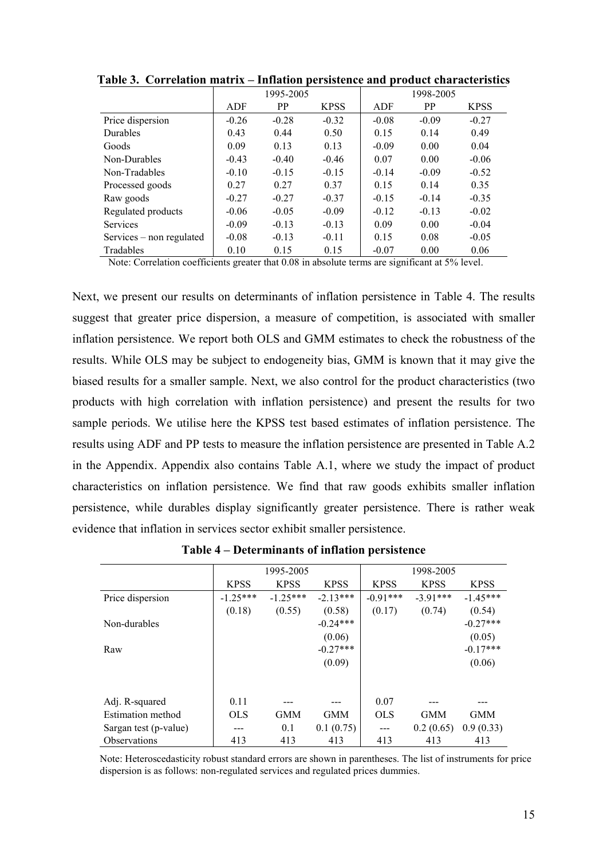|                          | 1995-2005 |           |             | 1998-2005 |           |             |
|--------------------------|-----------|-----------|-------------|-----------|-----------|-------------|
|                          | ADF       | <b>PP</b> | <b>KPSS</b> | ADF       | <b>PP</b> | <b>KPSS</b> |
| Price dispersion         | $-0.26$   | $-0.28$   | $-0.32$     | $-0.08$   | $-0.09$   | $-0.27$     |
| <b>Durables</b>          | 0.43      | 0.44      | 0.50        | 0.15      | 0.14      | 0.49        |
| Goods                    | 0.09      | 0.13      | 0.13        | $-0.09$   | 0.00      | 0.04        |
| Non-Durables             | $-0.43$   | $-0.40$   | $-0.46$     | 0.07      | 0.00      | $-0.06$     |
| Non-Tradables            | $-0.10$   | $-0.15$   | $-0.15$     | $-0.14$   | $-0.09$   | $-0.52$     |
| Processed goods          | 0.27      | 0.27      | 0.37        | 0.15      | 0.14      | 0.35        |
| Raw goods                | $-0.27$   | $-0.27$   | $-0.37$     | $-0.15$   | $-0.14$   | $-0.35$     |
| Regulated products       | $-0.06$   | $-0.05$   | $-0.09$     | $-0.12$   | $-0.13$   | $-0.02$     |
| <b>Services</b>          | $-0.09$   | $-0.13$   | $-0.13$     | 0.09      | 0.00      | $-0.04$     |
| Services – non regulated | $-0.08$   | $-0.13$   | $-0.11$     | 0.15      | 0.08      | $-0.05$     |
| Tradables                | 0.10      | 0.15      | 0.15        | $-0.07$   | 0.00      | 0.06        |

Table 3. Correlation matrix – Inflation persistence and product characteristics

Note: Correlation coefficients greater that 0.08 in absolute terms are significant at 5% level.

Next, we present our results on determinants of inflation persistence in Table 4. The results suggest that greater price dispersion, a measure of competition, is associated with smaller inflation persistence. We report both OLS and GMM estimates to check the robustness of the results. While OLS may be subject to endogeneity bias, GMM is known that it may give the biased results for a smaller sample. Next, we also control for the product characteristics (two products with high correlation with inflation persistence) and present the results for two sample periods. We utilise here the KPSS test based estimates of inflation persistence. The results using ADF and PP tests to measure the inflation persistence are presented in Table A.2 in the Appendix. Appendix also contains Table A.1, where we study the impact of product characteristics on inflation persistence. We find that raw goods exhibits smaller inflation persistence, while durables display significantly greater persistence. There is rather weak evidence that inflation in services sector exhibit smaller persistence.

|                          | 1995-2005   |             |             | 1998-2005   |             |             |
|--------------------------|-------------|-------------|-------------|-------------|-------------|-------------|
|                          | <b>KPSS</b> | <b>KPSS</b> | <b>KPSS</b> | <b>KPSS</b> | <b>KPSS</b> | <b>KPSS</b> |
| Price dispersion         | $-1.25***$  | $-1.25***$  | $-213***$   | $-0.91***$  | $-3.91***$  | $-1.45***$  |
|                          | (0.18)      | (0.55)      | (0.58)      | (0.17)      | (0.74)      | (0.54)      |
| Non-durables             |             |             | $-0.24***$  |             |             | $-0.27***$  |
|                          |             |             | (0.06)      |             |             | (0.05)      |
| Raw                      |             |             | $-0.27***$  |             |             | $-0.17***$  |
|                          |             |             | (0.09)      |             |             | (0.06)      |
|                          |             |             |             |             |             |             |
| Adj. R-squared           | 0.11        |             |             | 0.07        |             |             |
| <b>Estimation method</b> | <b>OLS</b>  | <b>GMM</b>  | <b>GMM</b>  | <b>OLS</b>  | <b>GMM</b>  | <b>GMM</b>  |
| Sargan test (p-value)    |             | 0.1         | 0.1(0.75)   | ---         | 0.2(0.65)   | 0.9(0.33)   |
| <b>Observations</b>      | 413         | 413         | 413         | 413         | 413         | 413         |

Table 4 – Determinants of inflation persistence

Note: Heteroscedasticity robust standard errors are shown in parentheses. The list of instruments for price dispersion is as follows: non-regulated services and regulated prices dummies.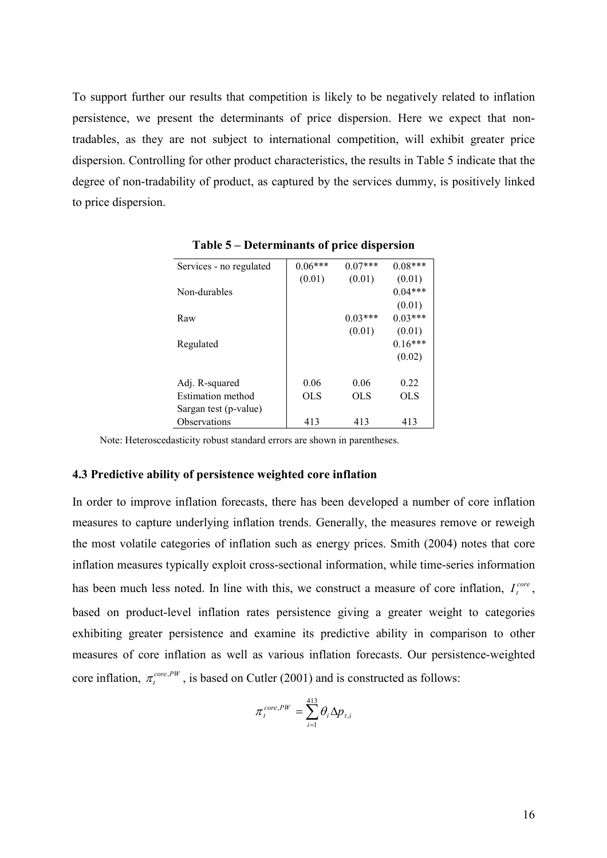To support further our results that competition is likely to be negatively related to inflation persistence, we present the determinants of price dispersion. Here we expect that nontradables, as they are not subject to international competition, will exhibit greater price dispersion. Controlling for other product characteristics, the results in Table 5 indicate that the degree of non-tradability of product, as captured by the services dummy, is positively linked to price dispersion.

| Services - no regulated | $0.06***$ | $0.07***$ | $0.08***$ |
|-------------------------|-----------|-----------|-----------|
|                         | (0.01)    | (0.01)    | (0.01)    |
| Non-durables            |           |           | $0.04***$ |
|                         |           |           | (0.01)    |
| Raw                     |           | $0.03***$ | $0.03***$ |
|                         |           | (0.01)    | (0.01)    |
| Regulated               |           |           | $0.16***$ |
|                         |           |           | (0.02)    |
|                         |           |           |           |
| Adj. R-squared          | 0.06      | 0.06      | 0.22      |
| Estimation method       | OL S      | OLS       | OL S      |
| Sargan test (p-value)   |           |           |           |
| Observations            | 413       | 413       | 413       |

Table 5 – Determinants of price dispersion

Note: Heteroscedasticity robust standard errors are shown in parentheses.

#### 4.3 Predictive ability of persistence weighted core inflation

In order to improve inflation forecasts, there has been developed a number of core inflation measures to capture underlying inflation trends. Generally, the measures remove or reweigh the most volatile categories of inflation such as energy prices. Smith (2004) notes that core inflation measures typically exploit cross-sectional information, while time-series information has been much less noted. In line with this, we construct a measure of core inflation,  $I_t^{core}$ , based on product-level inflation rates persistence giving a greater weight to categories exhibiting greater persistence and examine its predictive ability in comparison to other measures of core inflation as well as various inflation forecasts. Our persistence-weighted core inflation,  $\pi_i^{core,PW}$  $\pi_t^{\text{core,PW}}$ , is based on Cutler (2001) and is constructed as follows:

$$
\pi_t^{core,PW} = \sum_{i=1}^{413} \theta_i \Delta p_{t,i}
$$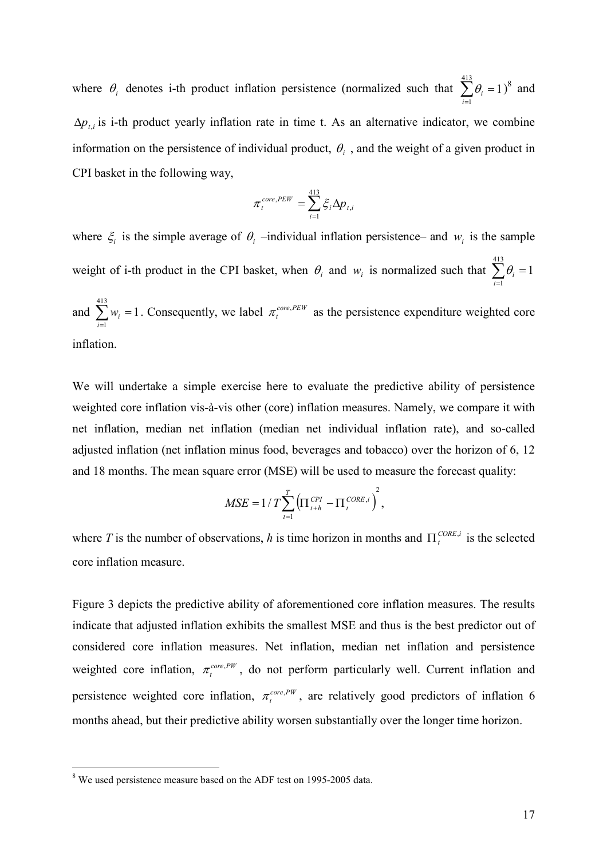where  $\theta_i$  denotes i-th product inflation persistence (normalized such that  $\sum \theta_i = 1$ 413  $\sum_{i=1} \theta_i =$  $\theta_i = 1$ <sup>8</sup> and  $\Delta p_{i,i}$  is i-th product yearly inflation rate in time t. As an alternative indicator, we combine information on the persistence of individual product,  $\theta_i$ , and the weight of a given product in CPI basket in the following way,

$$
\pi_i^{core,PEW} = \sum_{i=1}^{413} \xi_i \Delta p_{t,i}
$$

where  $\xi_i$  is the simple average of  $\theta_i$  –individual inflation persistence– and  $w_i$  is the sample weight of i-th product in the CPI basket, when  $\theta_i$  and  $w_i$  is normalized such that  $\sum \theta_i = 1$ 413  $\sum_{i=1} \theta_i =$  $\theta_{_{i}}$ 413

and  $\sum w_i = 1$  $\sum_{i=1} w_i =$  $w_i = 1$ . Consequently, we label  $\pi_t^{\text{core,PEW}}$  $\pi_t^{\text{core,PEW}}$  as the persistence expenditure weighted core inflation.

We will undertake a simple exercise here to evaluate the predictive ability of persistence weighted core inflation vis-à-vis other (core) inflation measures. Namely, we compare it with net inflation, median net inflation (median net individual inflation rate), and so-called adjusted inflation (net inflation minus food, beverages and tobacco) over the horizon of 6, 12 and 18 months. The mean square error (MSE) will be used to measure the forecast quality:

$$
MSE = 1/T \sum_{t=1}^{T} \left( \prod_{t+h}^{CPI} - \prod_{t}^{CORE,i} \right)^2,
$$

where T is the number of observations, h is time horizon in months and  $\Pi_t^{\text{CORE},i}$  is the selected core inflation measure.

Figure 3 depicts the predictive ability of aforementioned core inflation measures. The results indicate that adjusted inflation exhibits the smallest MSE and thus is the best predictor out of considered core inflation measures. Net inflation, median net inflation and persistence weighted core inflation,  $\pi_t^{core,PW}$  $\pi_t^{core,PW}$ , do not perform particularly well. Current inflation and persistence weighted core inflation,  $\pi_t^{\text{core,PW}}$  $\pi_t^{core,PW}$ , are relatively good predictors of inflation 6 months ahead, but their predictive ability worsen substantially over the longer time horizon.

<sup>&</sup>lt;sup>8</sup> We used persistence measure based on the ADF test on 1995-2005 data.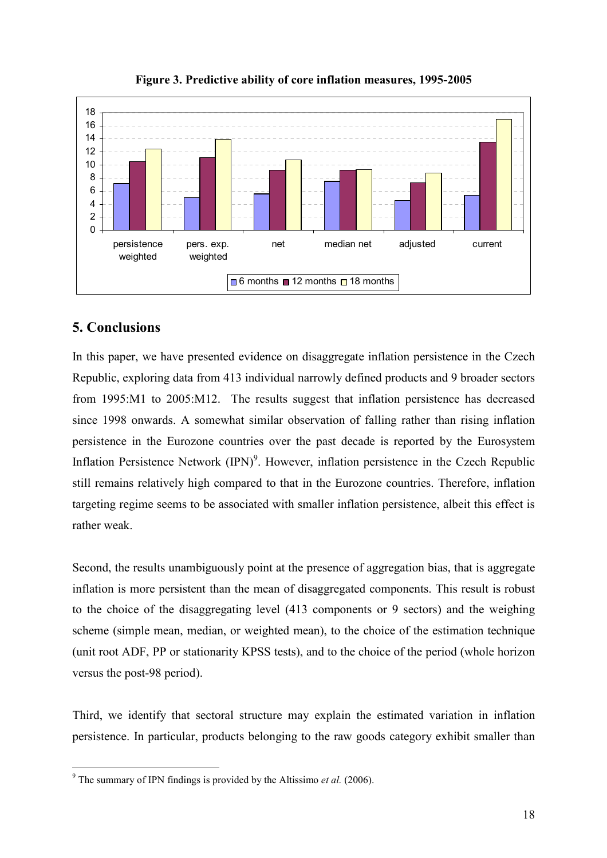



# 5. Conclusions

In this paper, we have presented evidence on disaggregate inflation persistence in the Czech Republic, exploring data from 413 individual narrowly defined products and 9 broader sectors from 1995:M1 to 2005:M12. The results suggest that inflation persistence has decreased since 1998 onwards. A somewhat similar observation of falling rather than rising inflation persistence in the Eurozone countries over the past decade is reported by the Eurosystem Inflation Persistence Network  $(IPN)^9$ . However, inflation persistence in the Czech Republic still remains relatively high compared to that in the Eurozone countries. Therefore, inflation targeting regime seems to be associated with smaller inflation persistence, albeit this effect is rather weak.

Second, the results unambiguously point at the presence of aggregation bias, that is aggregate inflation is more persistent than the mean of disaggregated components. This result is robust to the choice of the disaggregating level (413 components or 9 sectors) and the weighing scheme (simple mean, median, or weighted mean), to the choice of the estimation technique (unit root ADF, PP or stationarity KPSS tests), and to the choice of the period (whole horizon versus the post-98 period).

Third, we identify that sectoral structure may explain the estimated variation in inflation persistence. In particular, products belonging to the raw goods category exhibit smaller than

<sup>&</sup>lt;sup>9</sup> The summary of IPN findings is provided by the Altissimo *et al.* (2006).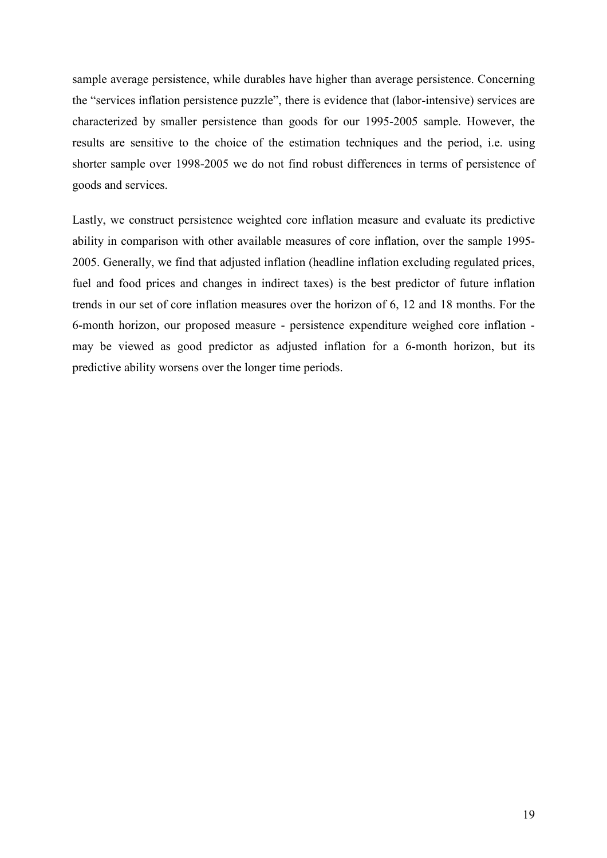sample average persistence, while durables have higher than average persistence. Concerning the "services inflation persistence puzzle", there is evidence that (labor-intensive) services are characterized by smaller persistence than goods for our 1995-2005 sample. However, the results are sensitive to the choice of the estimation techniques and the period, i.e. using shorter sample over 1998-2005 we do not find robust differences in terms of persistence of goods and services.

Lastly, we construct persistence weighted core inflation measure and evaluate its predictive ability in comparison with other available measures of core inflation, over the sample 1995- 2005. Generally, we find that adjusted inflation (headline inflation excluding regulated prices, fuel and food prices and changes in indirect taxes) is the best predictor of future inflation trends in our set of core inflation measures over the horizon of 6, 12 and 18 months. For the 6-month horizon, our proposed measure - persistence expenditure weighed core inflation may be viewed as good predictor as adjusted inflation for a 6-month horizon, but its predictive ability worsens over the longer time periods.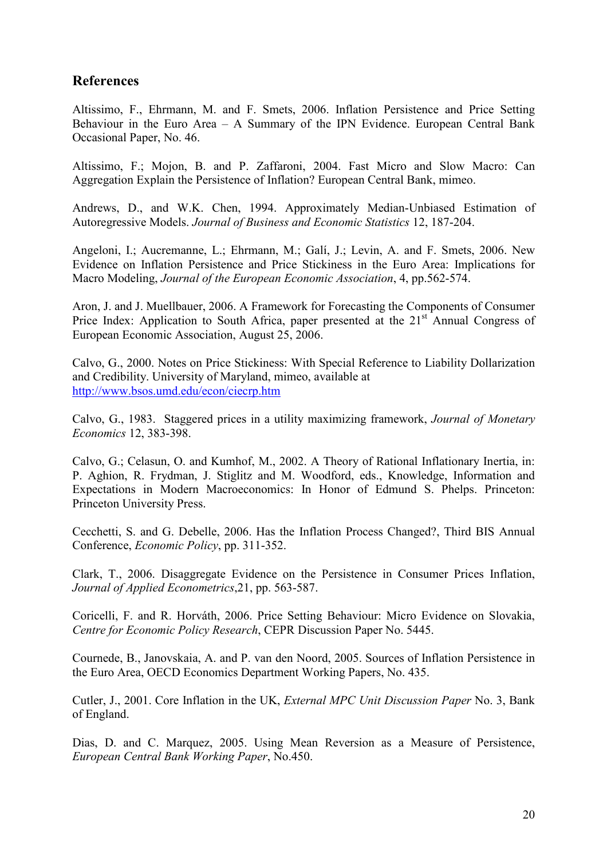# References

Altissimo, F., Ehrmann, M. and F. Smets, 2006. Inflation Persistence and Price Setting Behaviour in the Euro Area – A Summary of the IPN Evidence. European Central Bank Occasional Paper, No. 46.

Altissimo, F.; Mojon, B. and P. Zaffaroni, 2004. Fast Micro and Slow Macro: Can Aggregation Explain the Persistence of Inflation? European Central Bank, mimeo.

Andrews, D., and W.K. Chen, 1994. Approximately Median-Unbiased Estimation of Autoregressive Models. Journal of Business and Economic Statistics 12, 187-204.

Angeloni, I.; Aucremanne, L.; Ehrmann, M.; Galí, J.; Levin, A. and F. Smets, 2006. New Evidence on Inflation Persistence and Price Stickiness in the Euro Area: Implications for Macro Modeling, Journal of the European Economic Association, 4, pp.562-574.

Aron, J. and J. Muellbauer, 2006. A Framework for Forecasting the Components of Consumer Price Index: Application to South Africa, paper presented at the  $21<sup>st</sup>$  Annual Congress of European Economic Association, August 25, 2006.

Calvo, G., 2000. Notes on Price Stickiness: With Special Reference to Liability Dollarization and Credibility. University of Maryland, mimeo, available at <http://www.bsos.umd.edu/econ/ciecrp.htm>

Calvo, G., 1983. Staggered prices in a utility maximizing framework, Journal of Monetary Economics 12, 383-398.

Calvo, G.; Celasun, O. and Kumhof, M., 2002. A Theory of Rational Inflationary Inertia, in: P. Aghion, R. Frydman, J. Stiglitz and M. Woodford, eds., Knowledge, Information and Expectations in Modern Macroeconomics: In Honor of Edmund S. Phelps. Princeton: Princeton University Press.

Cecchetti, S. and G. Debelle, 2006. Has the Inflation Process Changed?, Third BIS Annual Conference, Economic Policy, pp. 311-352.

Clark, T., 2006. Disaggregate Evidence on the Persistence in Consumer Prices Inflation, Journal of Applied Econometrics,21, pp. 563-587.

Coricelli, F. and R. Horváth, 2006. Price Setting Behaviour: Micro Evidence on Slovakia, Centre for Economic Policy Research, CEPR Discussion Paper No. 5445.

Cournede, B., Janovskaia, A. and P. van den Noord, 2005. Sources of Inflation Persistence in the Euro Area, OECD Economics Department Working Papers, No. 435.

Cutler, J., 2001. Core Inflation in the UK, External MPC Unit Discussion Paper No. 3, Bank of England.

Dias, D. and C. Marquez, 2005. Using Mean Reversion as a Measure of Persistence, European Central Bank Working Paper, No.450.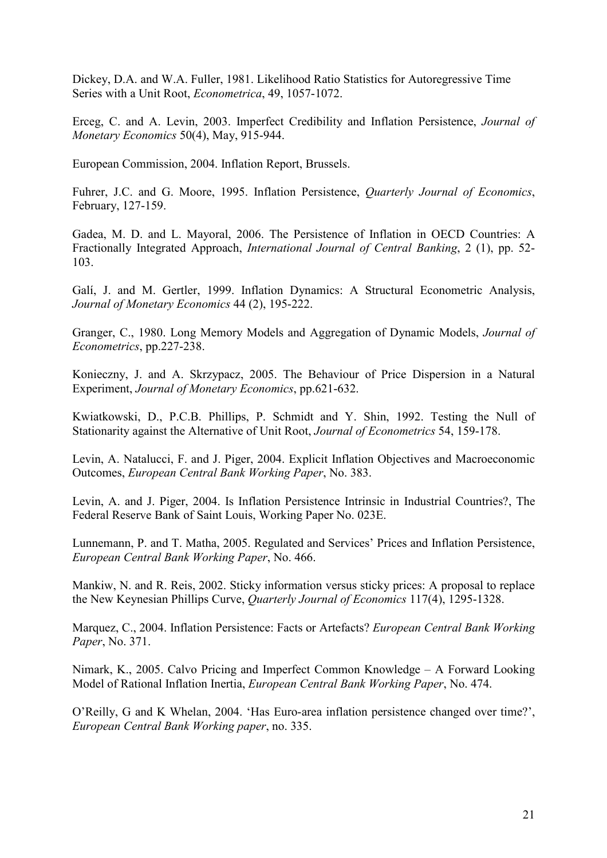Dickey, D.A. and W.A. Fuller, 1981. Likelihood Ratio Statistics for Autoregressive Time Series with a Unit Root, Econometrica, 49, 1057-1072.

Erceg, C. and A. Levin, 2003. Imperfect Credibility and Inflation Persistence, Journal of Monetary Economics 50(4), May, 915-944.

European Commission, 2004. Inflation Report, Brussels.

Fuhrer, J.C. and G. Moore, 1995. Inflation Persistence, Quarterly Journal of Economics, February, 127-159.

Gadea, M. D. and L. Mayoral, 2006. The Persistence of Inflation in OECD Countries: A Fractionally Integrated Approach, International Journal of Central Banking, 2 (1), pp. 52- 103.

Galí, J. and M. Gertler, 1999. Inflation Dynamics: A Structural Econometric Analysis, Journal of Monetary Economics 44 (2), 195-222.

Granger, C., 1980. Long Memory Models and Aggregation of Dynamic Models, Journal of Econometrics, pp.227-238.

Konieczny, J. and A. Skrzypacz, 2005. The Behaviour of Price Dispersion in a Natural Experiment, Journal of Monetary Economics, pp.621-632.

Kwiatkowski, D., P.C.B. Phillips, P. Schmidt and Y. Shin, 1992. Testing the Null of Stationarity against the Alternative of Unit Root, Journal of Econometrics 54, 159-178.

Levin, A. Natalucci, F. and J. Piger, 2004. Explicit Inflation Objectives and Macroeconomic Outcomes, European Central Bank Working Paper, No. 383.

Levin, A. and J. Piger, 2004. Is Inflation Persistence Intrinsic in Industrial Countries?, The Federal Reserve Bank of Saint Louis, Working Paper No. 023E.

Lunnemann, P. and T. Matha, 2005. Regulated and Services' Prices and Inflation Persistence, European Central Bank Working Paper, No. 466.

Mankiw, N. and R. Reis, 2002. Sticky information versus sticky prices: A proposal to replace the New Keynesian Phillips Curve, Quarterly Journal of Economics 117(4), 1295-1328.

Marquez, C., 2004. Inflation Persistence: Facts or Artefacts? European Central Bank Working Paper, No. 371.

Nimark, K., 2005. Calvo Pricing and Imperfect Common Knowledge – A Forward Looking Model of Rational Inflation Inertia, European Central Bank Working Paper, No. 474.

O'Reilly, G and K Whelan, 2004. 'Has Euro-area inflation persistence changed over time?', European Central Bank Working paper, no. 335.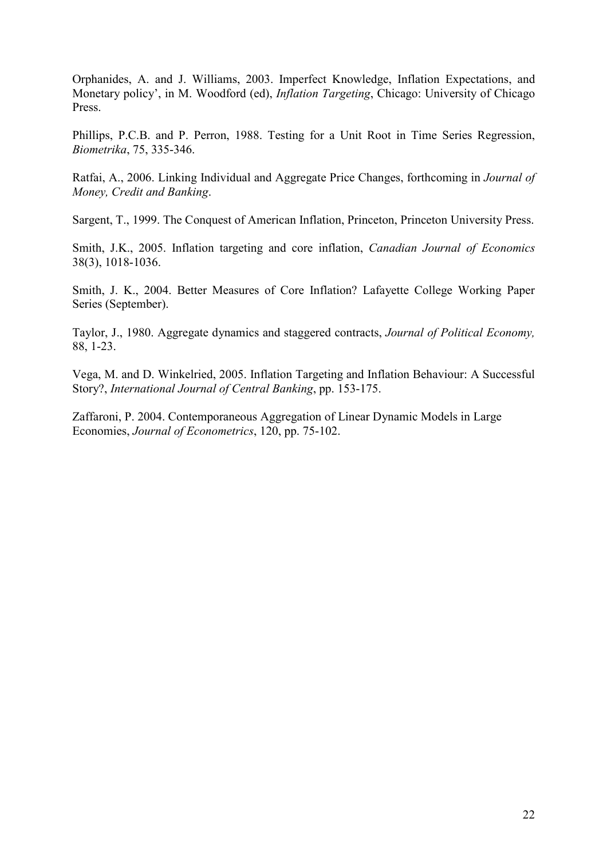Orphanides, A. and J. Williams, 2003. Imperfect Knowledge, Inflation Expectations, and Monetary policy', in M. Woodford (ed), *Inflation Targeting*, Chicago: University of Chicago Press.

Phillips, P.C.B. and P. Perron, 1988. Testing for a Unit Root in Time Series Regression, Biometrika, 75, 335-346.

Ratfai, A., 2006. Linking Individual and Aggregate Price Changes, forthcoming in Journal of Money, Credit and Banking.

Sargent, T., 1999. The Conquest of American Inflation, Princeton, Princeton University Press.

Smith, J.K., 2005. Inflation targeting and core inflation, Canadian Journal of Economics 38(3), 1018-1036.

Smith, J. K., 2004. Better Measures of Core Inflation? Lafayette College Working Paper Series (September).

Taylor, J., 1980. Aggregate dynamics and staggered contracts, Journal of Political Economy, 88, 1-23.

Vega, M. and D. Winkelried, 2005. Inflation Targeting and Inflation Behaviour: A Successful Story?, International Journal of Central Banking, pp. 153-175.

Zaffaroni, P. 2004. Contemporaneous Aggregation of Linear Dynamic Models in Large Economies, Journal of Econometrics, 120, pp. 75-102.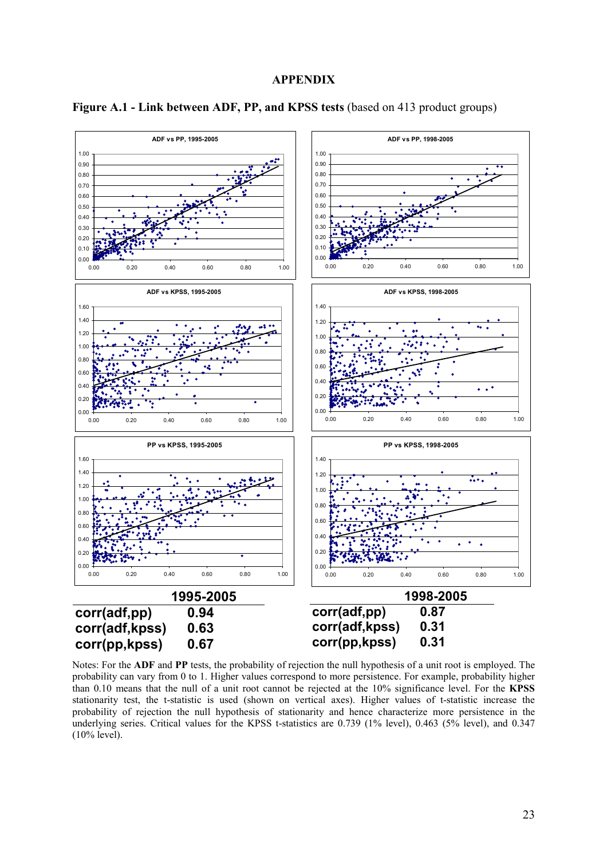#### APPENDIX



Figure A.1 - Link between ADF, PP, and KPSS tests (based on 413 product groups)

Notes: For the ADF and PP tests, the probability of rejection the null hypothesis of a unit root is employed. The probability can vary from 0 to 1. Higher values correspond to more persistence. For example, probability higher than 0.10 means that the null of a unit root cannot be rejected at the 10% significance level. For the KPSS stationarity test, the t-statistic is used (shown on vertical axes). Higher values of t-statistic increase the probability of rejection the null hypothesis of stationarity and hence characterize more persistence in the underlying series. Critical values for the KPSS t-statistics are 0.739 (1% level), 0.463 (5% level), and 0.347 (10% level).